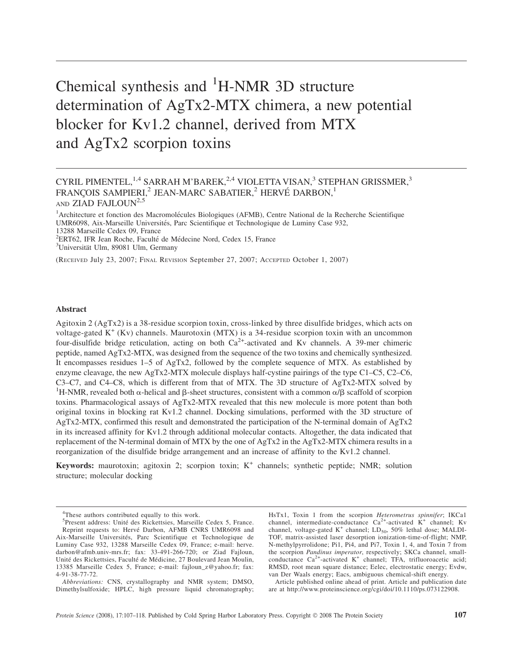# Chemical synthesis and <sup>1</sup>H-NMR 3D structure determination of AgTx2-MTX chimera, a new potential blocker for Kv1.2 channel, derived from MTX and AgTx2 scorpion toxins

# CYRIL PIMENTEL,<sup>1,4</sup> SARRAH M'BAREK,<sup>2,4</sup> VIOLETTA VISAN,<sup>3</sup> STEPHAN GRISSMER,<sup>3</sup> FRANÇOIS SAMPIERI,<sup>2</sup> JEAN-MARC SABATIER,<sup>2</sup> HERVÉ DARBON,<sup>1</sup> AND ZIAD FAJLOUN<sup>2,5</sup>

<sup>1</sup> Architecture et fonction des Macromolécules Biologiques (AFMB), Centre National de la Recherche Scientifique UMR6098, Aix-Marseille Universités, Parc Scientifique et Technologique de Luminy Case 932, 13288 Marseille Cedex 09, France

<sup>2</sup>ERT62, IFR Jean Roche, Faculté de Médecine Nord, Cedex 15, France  $\frac{31 \text{ Inivariate 1 \text{ I} \text{m}}}{2500 \text{.} \cdot \text{m}}$ 

<sup>3</sup>Universität Ulm, 89081 Ulm, Germany

(RECEIVED July 23, 2007; FINAL REVISION September 27, 2007; ACCEPTED October 1, 2007)

# Abstract

Agitoxin 2 (AgTx2) is a 38-residue scorpion toxin, cross-linked by three disulfide bridges, which acts on voltage-gated  $K^+$  (Kv) channels. Maurotoxin (MTX) is a 34-residue scorpion toxin with an uncommon four-disulfide bridge reticulation, acting on both  $Ca<sup>2+</sup>$ -activated and Kv channels. A 39-mer chimeric peptide, named AgTx2-MTX, was designed from the sequence of the two toxins and chemically synthesized. It encompasses residues 1–5 of AgTx2, followed by the complete sequence of MTX. As established by enzyme cleavage, the new AgTx2-MTX molecule displays half-cystine pairings of the type C1–C5, C2–C6, C3–C7, and C4–C8, which is different from that of MTX. The 3D structure of AgTx2-MTX solved by <sup>1</sup>H-NMR, revealed both  $\alpha$ -helical and  $\beta$ -sheet structures, consistent with a common  $\alpha/\beta$  scaffold of scorpion toxins. Pharmacological assays of AgTx2-MTX revealed that this new molecule is more potent than both original toxins in blocking rat Kv1.2 channel. Docking simulations, performed with the 3D structure of AgTx2-MTX, confirmed this result and demonstrated the participation of the N-terminal domain of AgTx2 in its increased affinity for Kv1.2 through additional molecular contacts. Altogether, the data indicated that replacement of the N-terminal domain of MTX by the one of AgTx2 in the AgTx2-MTX chimera results in a reorganization of the disulfide bridge arrangement and an increase of affinity to the Kv1.2 channel.

Keywords: maurotoxin; agitoxin 2; scorpion toxin; K<sup>+</sup> channels; synthetic peptide; NMR; solution structure; molecular docking

HsTx1, Toxin 1 from the scorpion Heterometrus spinnifer; IKCa1 channel, intermediate-conductance  $Ca^{2+}$ -activated  $K^+$  channel; Kv channel, voltage-gated  $K^+$  channel; LD<sub>50</sub>, 50% lethal dose; MALDI-TOF, matrix-assisted laser desorption ionization-time-of-flight; NMP, N-methylpyrrolidone; Pi1, Pi4, and Pi7, Toxin 1, 4, and Toxin 7 from the scorpion Pandinus imperator, respectively; SKCa channel, smallconductance Ca<sup>2+</sup>-activated K<sup>+</sup> channel; TFA, trifluoroacetic acid; RMSD, root mean square distance; Eelec, electrostatic energy; Evdw, van Der Waals energy; Eacs, ambiguous chemical-shift energy.

Article published online ahead of print. Article and publication date are at http://www.proteinscience.org/cgi/doi/10.1110/ps.073122908.

<sup>&</sup>lt;sup>4</sup>These authors contributed equally to this work.

<sup>&</sup>lt;sup>5</sup>Present address: Unité des Rickettsies, Marseille Cedex 5, France. Reprint requests to: Hervé Darbon, AFMB CNRS UMR6098 and Aix-Marseille Universités, Parc Scientifique et Technologique de Luminy Case 932, 13288 Marseille Cedex 09, France; e-mail: herve. darbon@afmb.univ-mrs.fr; fax: 33-491-266-720; or Ziad Fajloun, Unité des Rickettsies, Faculté de Médicine, 27 Boulevard Jean Moulin, 13385 Marseille Cedex 5, France; e-mail: fajloun\_z@yahoo.fr; fax: 4-91-38-77-72.

Abbreviations: CNS, crystallography and NMR system; DMSO, Dimethylsulfoxide; HPLC, high pressure liquid chromatography;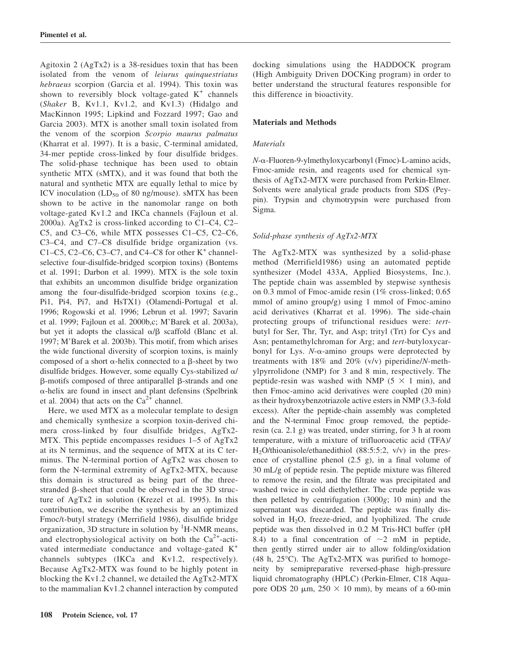Agitoxin 2 (AgTx2) is a 38-residues toxin that has been isolated from the venom of leiurus quinquestriatus hebraeus scorpion (Garcia et al. 1994). This toxin was shown to reversibly block voltage-gated  $K^+$  channels (Shaker B, Kv1.1, Kv1.2, and Kv1.3) (Hidalgo and MacKinnon 1995; Lipkind and Fozzard 1997; Gao and Garcia 2003). MTX is another small toxin isolated from the venom of the scorpion Scorpio maurus palmatus (Kharrat et al. 1997). It is a basic, C-terminal amidated, 34-mer peptide cross-linked by four disulfide bridges. The solid-phase technique has been used to obtain synthetic MTX (sMTX), and it was found that both the natural and synthetic MTX are equally lethal to mice by ICV inoculation  $(LD_{50}$  of 80 ng/mouse). sMTX has been shown to be active in the nanomolar range on both voltage-gated Kv1.2 and IKCa channels (Fajloun et al. 2000a). AgTx2 is cross-linked according to C1–C4, C2– C5, and C3–C6, while MTX possesses C1–C5, C2–C6, C3–C4, and C7–C8 disulfide bridge organization (vs. C1–C5, C2–C6, C3–C7, and C4–C8 for other  $K^+$  channelselective four-disulfide-bridged scorpion toxins) (Bontems et al. 1991; Darbon et al. 1999). MTX is the sole toxin that exhibits an uncommon disulfide bridge organization among the four-disulfide-bridged scorpion toxins (e.g., Pi1, Pi4, Pi7, and HsTX1) (Olamendi-Portugal et al. 1996; Rogowski et al. 1996; Lebrun et al. 1997; Savarin et al. 1999; Fajloun et al. 2000b,c; M'Barek et al. 2003a), but yet it adopts the classical  $\alpha/\beta$  scaffold (Blanc et al. 1997; M'Barek et al. 2003b). This motif, from which arises the wide functional diversity of scorpion toxins, is mainly composed of a short  $\alpha$ -helix connected to a  $\beta$ -sheet by two disulfide bridges. However, some equally Cys-stabilized  $\alpha$ /  $\beta$ -motifs composed of three antiparallel  $\beta$ -strands and one  $\alpha$ -helix are found in insect and plant defensins (Spelbrink et al. 2004) that acts on the  $Ca^{2+}$  channel.

Here, we used MTX as a molecular template to design and chemically synthesize a scorpion toxin-derived chimera cross-linked by four disulfide bridges, AgTx2- MTX. This peptide encompasses residues 1–5 of AgTx2 at its N terminus, and the sequence of MTX at its C terminus. The N-terminal portion of AgTx2 was chosen to form the N-terminal extremity of AgTx2-MTX, because this domain is structured as being part of the threestranded  $\beta$ -sheet that could be observed in the 3D structure of AgTx2 in solution (Krezel et al. 1995). In this contribution, we describe the synthesis by an optimized Fmoc/t-butyl strategy (Merrifield 1986), disulfide bridge organization, 3D structure in solution by  ${}^{1}$ H-NMR means, and electrophysiological activity on both the  $Ca^{2+}$ -activated intermediate conductance and voltage-gated K<sup>+</sup> channels subtypes (IKCa and Kv1.2, respectively). Because AgTx2-MTX was found to be highly potent in blocking the Kv1.2 channel, we detailed the AgTx2-MTX to the mammalian Kv1.2 channel interaction by computed

# Materials and Methods

# **Materials**

N-a-Fluoren-9-ylmethyloxycarbonyl (Fmoc)-L-amino acids, Fmoc-amide resin, and reagents used for chemical synthesis of AgTx2-MTX were purchased from Perkin-Elmer. Solvents were analytical grade products from SDS (Peypin). Trypsin and chymotrypsin were purchased from Sigma.

# Solid-phase synthesis of AgTx2-MTX

The AgTx2-MTX was synthesized by a solid-phase method (Merrifield1986) using an automated peptide synthesizer (Model 433A, Applied Biosystems, Inc.). The peptide chain was assembled by stepwise synthesis on 0.3 mmol of Fmoc-amide resin (1% cross-linked; 0.65 mmol of amino group/g) using 1 mmol of Fmoc-amino acid derivatives (Kharrat et al. 1996). The side-chain protecting groups of trifunctional residues were: tertbutyl for Ser, Thr, Tyr, and Asp; trityl (Trt) for Cys and Asn; pentamethylchroman for Arg; and tert-butyloxycarbonyl for Lys.  $N$ - $\alpha$ -amino groups were deprotected by treatments with 18% and 20% (v/v) piperidine/N-methylpyrrolidone (NMP) for 3 and 8 min, respectively. The peptide-resin was washed with NMP ( $5 \times 1$  min), and then Fmoc-amino acid derivatives were coupled (20 min) as their hydroxybenzotriazole active esters in NMP (3.3-fold excess). After the peptide-chain assembly was completed and the N-terminal Fmoc group removed, the peptideresin (ca. 2.1 g) was treated, under stirring, for 3 h at room temperature, with a mixture of trifluoroacetic acid (TFA)/ H2O/thioanisole/ethanedithiol (88:5:5:2, v/v) in the presence of crystalline phenol (2.5 g), in a final volume of 30 mL/g of peptide resin. The peptide mixture was filtered to remove the resin, and the filtrate was precipitated and washed twice in cold diethylether. The crude peptide was then pelleted by centrifugation (3000g; 10 min) and the supernatant was discarded. The peptide was finally dissolved in  $H_2O$ , freeze-dried, and lyophilized. The crude peptide was then dissolved in 0.2 M Tris-HCl buffer (pH 8.4) to a final concentration of  $\sim$ 2 mM in peptide, then gently stirred under air to allow folding/oxidation (48 h, 25°C). The AgTx2-MTX was purified to homogeneity by semipreparative reversed-phase high-pressure liquid chromatography (HPLC) (Perkin-Elmer, C18 Aquapore ODS 20  $\mu$ m, 250  $\times$  10 mm), by means of a 60-min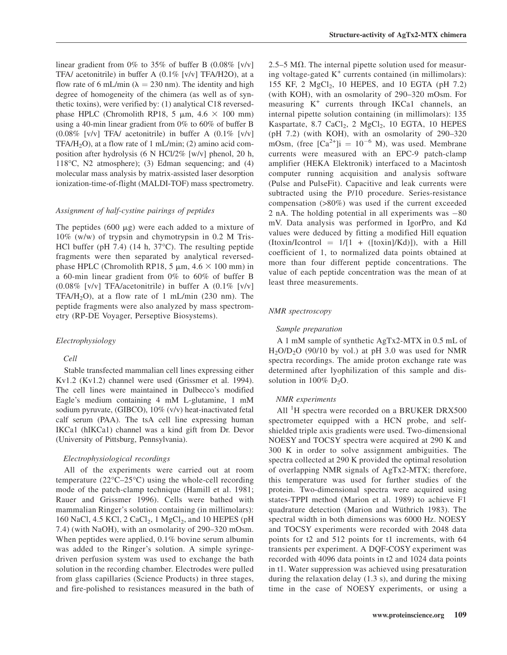linear gradient from 0% to 35% of buffer B  $(0.08\%$  [v/v] TFA/ acetonitrile) in buffer A (0.1% [v/v] TFA/H2O), at a flow rate of 6 mL/min ( $\lambda = 230$  nm). The identity and high degree of homogeneity of the chimera (as well as of synthetic toxins), were verified by: (1) analytical C18 reversedphase HPLC (Chromolith RP18, 5  $\mu$ m, 4.6  $\times$  100 mm) using a 40-min linear gradient from 0% to 60% of buffer B  $(0.08\%$  [v/v] TFA/ acetonitrile) in buffer A  $(0.1\%$  [v/v]  $TFA/H<sub>2</sub>O$ , at a flow rate of 1 mL/min; (2) amino acid composition after hydrolysis (6 N HCl/2% [w/v] phenol, 20 h, 118°C, N2 atmosphere); (3) Edman sequencing; and (4) molecular mass analysis by matrix-assisted laser desorption ionization-time-of-flight (MALDI-TOF) mass spectrometry.

#### Assignment of half-cystine pairings of peptides

The peptides (600  $\mu$ g) were each added to a mixture of 10% (w/w) of trypsin and chymotrypsin in 0.2 M Tris-HCl buffer (pH 7.4) (14 h, 37°C). The resulting peptide fragments were then separated by analytical reversedphase HPLC (Chromolith RP18, 5  $\mu$ m, 4.6  $\times$  100 mm) in a 60-min linear gradient from 0% to 60% of buffer B (0.08% [v/v] TFA/acetonitrile) in buffer A (0.1% [v/v] TFA/H<sub>2</sub>O), at a flow rate of 1 mL/min (230 nm). The peptide fragments were also analyzed by mass spectrometry (RP-DE Voyager, Perseptive Biosystems).

# Electrophysiology

# Cell

Stable transfected mammalian cell lines expressing either Kv1.2 (Kv1.2) channel were used (Grissmer et al. 1994). The cell lines were maintained in Dulbecco's modified Eagle's medium containing 4 mM L-glutamine, 1 mM sodium pyruvate, (GIBCO), 10% (v/v) heat-inactivated fetal calf serum (PAA). The tsA cell line expressing human IKCa1 (hIKCa1) channel was a kind gift from Dr. Devor (University of Pittsburg, Pennsylvania).

# Electrophysiological recordings

All of the experiments were carried out at room temperature  $(22^{\circ}C - 25^{\circ}C)$  using the whole-cell recording mode of the patch-clamp technique (Hamill et al. 1981; Rauer and Grissmer 1996). Cells were bathed with mammalian Ringer's solution containing (in millimolars): 160 NaCl, 4.5 KCl, 2 CaCl<sub>2</sub>, 1 MgCl<sub>2</sub>, and 10 HEPES (pH) 7.4) (with NaOH), with an osmolarity of 290–320 mOsm. When peptides were applied, 0.1% bovine serum albumin was added to the Ringer's solution. A simple syringedriven perfusion system was used to exchange the bath solution in the recording chamber. Electrodes were pulled from glass capillaries (Science Products) in three stages, and fire-polished to resistances measured in the bath of

2.5–5 M $\Omega$ . The internal pipette solution used for measuring voltage-gated  $K^+$  currents contained (in millimolars): 155 KF, 2  $MgCl<sub>2</sub>$ , 10 HEPES, and 10 EGTA (pH 7.2) (with KOH), with an osmolarity of 290–320 mOsm. For measuring  $K^+$  currents through IKCa1 channels, an internal pipette solution containing (in millimolars): 135 Kaspartate, 8.7 CaCl<sub>2</sub>, 2 MgCl<sub>2</sub>, 10 EGTA, 10 HEPES (pH 7.2) (with KOH), with an osmolarity of 290–320 mOsm, (free  $[Ca^{2+}]i = 10^{-6}$  M), was used. Membrane currents were measured with an EPC-9 patch-clamp amplifier (HEKA Elektronik) interfaced to a Macintosh computer running acquisition and analysis software (Pulse and PulseFit). Capacitive and leak currents were subtracted using the P/10 procedure. Series-resistance compensation (>80%) was used if the current exceeded 2 nA. The holding potential in all experiments was -80 mV. Data analysis was performed in IgorPro, and Kd values were deduced by fitting a modified Hill equation  $(Itoxin/Icontrol = 1/[1 + ([toxin]/Kd)])$ , with a Hill coefficient of 1, to normalized data points obtained at more than four different peptide concentrations. The value of each peptide concentration was the mean of at least three measurements.

## NMR spectroscopy

#### Sample preparation

A 1 mM sample of synthetic AgTx2-MTX in 0.5 mL of  $H<sub>2</sub>O/D<sub>2</sub>O$  (90/10 by vol.) at pH 3.0 was used for NMR spectra recordings. The amide proton exchange rate was determined after lyophilization of this sample and dissolution in  $100\%$  D<sub>2</sub>O.

# NMR experiments

All <sup>1</sup>H spectra were recorded on a BRUKER DRX500 spectrometer equipped with a HCN probe, and selfshielded triple axis gradients were used. Two-dimensional NOESY and TOCSY spectra were acquired at 290 K and 300 K in order to solve assignment ambiguities. The spectra collected at 290 K provided the optimal resolution of overlapping NMR signals of AgTx2-MTX; therefore, this temperature was used for further studies of the protein. Two-dimensional spectra were acquired using states-TPPI method (Marion et al. 1989) to achieve F1 quadrature detection (Marion and Wüthrich 1983). The spectral width in both dimensions was 6000 Hz. NOESY and TOCSY experiments were recorded with 2048 data points for t2 and 512 points for t1 increments, with 64 transients per experiment. A DQF-COSY experiment was recorded with 4096 data points in t2 and 1024 data points in t1. Water suppression was achieved using presaturation during the relaxation delay (1.3 s), and during the mixing time in the case of NOESY experiments, or using a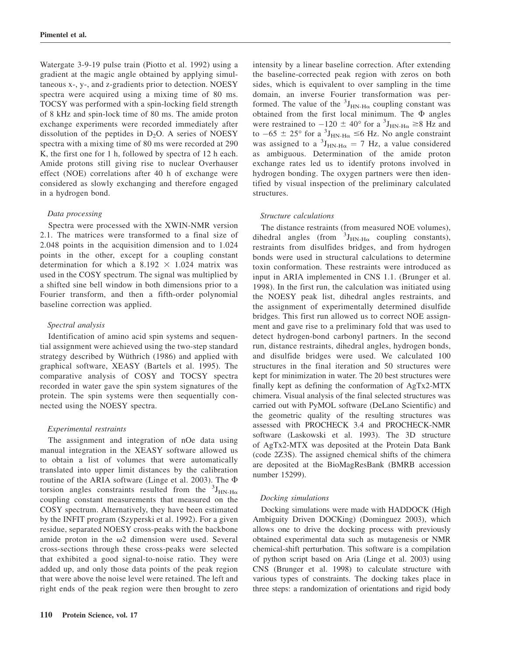Watergate 3-9-19 pulse train (Piotto et al. 1992) using a gradient at the magic angle obtained by applying simultaneous x-, y-, and z-gradients prior to detection. NOESY spectra were acquired using a mixing time of 80 ms. TOCSY was performed with a spin-locking field strength of 8 kHz and spin-lock time of 80 ms. The amide proton exchange experiments were recorded immediately after dissolution of the peptides in  $D_2O$ . A series of NOESY spectra with a mixing time of 80 ms were recorded at 290 K, the first one for 1 h, followed by spectra of 12 h each. Amide protons still giving rise to nuclear Overhauser effect (NOE) correlations after 40 h of exchange were considered as slowly exchanging and therefore engaged in a hydrogen bond.

#### Data processing

Spectra were processed with the XWIN-NMR version 2.1. The matrices were transformed to a final size of 2.048 points in the acquisition dimension and to 1.024 points in the other, except for a coupling constant determination for which a  $8.192 \times 1.024$  matrix was used in the COSY spectrum. The signal was multiplied by a shifted sine bell window in both dimensions prior to a Fourier transform, and then a fifth-order polynomial baseline correction was applied.

#### Spectral analysis

Identification of amino acid spin systems and sequential assignment were achieved using the two-step standard strategy described by Wüthrich (1986) and applied with graphical software, XEASY (Bartels et al. 1995). The comparative analysis of COSY and TOCSY spectra recorded in water gave the spin system signatures of the protein. The spin systems were then sequentially connected using the NOESY spectra.

#### Experimental restraints

The assignment and integration of nOe data using manual integration in the XEASY software allowed us to obtain a list of volumes that were automatically translated into upper limit distances by the calibration routine of the ARIA software (Linge et al. 2003). The  $\Phi$ torsion angles constraints resulted from the  ${}^{3}J_{HN\text{-}H\alpha}$ coupling constant measurements that measured on the COSY spectrum. Alternatively, they have been estimated by the INFIT program (Szyperski et al. 1992). For a given residue, separated NOESY cross-peaks with the backbone amide proton in the  $\omega$ 2 dimension were used. Several cross-sections through these cross-peaks were selected that exhibited a good signal-to-noise ratio. They were added up, and only those data points of the peak region that were above the noise level were retained. The left and right ends of the peak region were then brought to zero intensity by a linear baseline correction. After extending the baseline-corrected peak region with zeros on both sides, which is equivalent to over sampling in the time domain, an inverse Fourier transformation was performed. The value of the  ${}^{3}J_{HN\text{-}H\alpha}$  coupling constant was obtained from the first local minimum. The  $\Phi$  angles were restrained to  $-120 \pm 40^{\circ}$  for a  $^{3}$ J<sub>HN-H $\alpha$ </sub>  $\geq 8$  Hz and to  $-65 \pm 25^{\circ}$  for a  $\mathrm{^{3}J_{HN-H\alpha}} \le 6$  Hz. No angle constraint was assigned to a  ${}^{3}J_{HN-H\alpha} = 7$  Hz, a value considered as ambiguous. Determination of the amide proton exchange rates led us to identify protons involved in hydrogen bonding. The oxygen partners were then identified by visual inspection of the preliminary calculated structures.

#### Structure calculations

The distance restraints (from measured NOE volumes), dihedral angles (from  ${}^{3}J_{HN\text{-}H\alpha}$  coupling constants), restraints from disulfides bridges, and from hydrogen bonds were used in structural calculations to determine toxin conformation. These restraints were introduced as input in ARIA implemented in CNS 1.1. (Brunger et al. 1998). In the first run, the calculation was initiated using the NOESY peak list, dihedral angles restraints, and the assignment of experimentally determined disulfide bridges. This first run allowed us to correct NOE assignment and gave rise to a preliminary fold that was used to detect hydrogen-bond carbonyl partners. In the second run, distance restraints, dihedral angles, hydrogen bonds, and disulfide bridges were used. We calculated 100 structures in the final iteration and 50 structures were kept for minimization in water. The 20 best structures were finally kept as defining the conformation of AgTx2-MTX chimera. Visual analysis of the final selected structures was carried out with PyMOL software (DeLano Scientific) and the geometric quality of the resulting structures was assessed with PROCHECK 3.4 and PROCHECK-NMR software (Laskowski et al. 1993). The 3D structure of AgTx2-MTX was deposited at the Protein Data Bank (code 2Z3S). The assigned chemical shifts of the chimera are deposited at the BioMagResBank (BMRB accession number 15299).

#### Docking simulations

Docking simulations were made with HADDOCK (High Ambiguity Driven DOCKing) (Dominguez 2003), which allows one to drive the docking process with previously obtained experimental data such as mutagenesis or NMR chemical-shift perturbation. This software is a compilation of python script based on Aria (Linge et al. 2003) using CNS (Brunger et al. 1998) to calculate structure with various types of constraints. The docking takes place in three steps: a randomization of orientations and rigid body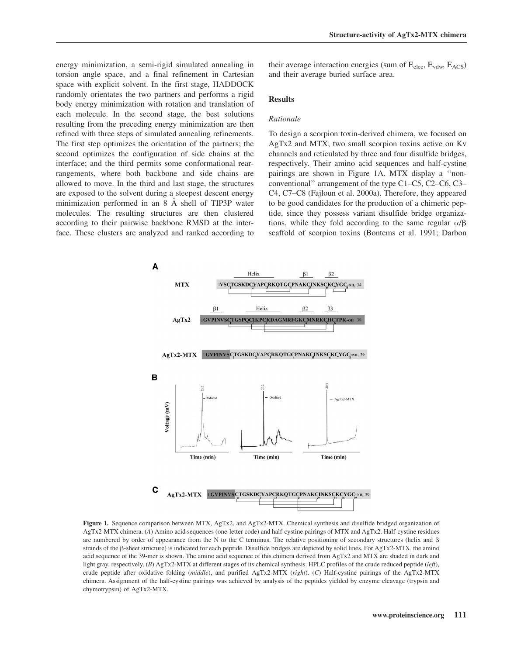energy minimization, a semi-rigid simulated annealing in torsion angle space, and a final refinement in Cartesian space with explicit solvent. In the first stage, HADDOCK randomly orientates the two partners and performs a rigid body energy minimization with rotation and translation of each molecule. In the second stage, the best solutions resulting from the preceding energy minimization are then refined with three steps of simulated annealing refinements. The first step optimizes the orientation of the partners; the second optimizes the configuration of side chains at the interface; and the third permits some conformational rearrangements, where both backbone and side chains are allowed to move. In the third and last stage, the structures are exposed to the solvent during a steepest descent energy minimization performed in an 8 Å shell of TIP3P water molecules. The resulting structures are then clustered according to their pairwise backbone RMSD at the interface. These clusters are analyzed and ranked according to

their average interaction energies (sum of  $E_{elec}$ ,  $E_{vdw}$ ,  $E_{ACS}$ ) and their average buried surface area.

## Results

# Rationale

To design a scorpion toxin-derived chimera, we focused on AgTx2 and MTX, two small scorpion toxins active on Kv channels and reticulated by three and four disulfide bridges, respectively. Their amino acid sequences and half-cystine pairings are shown in Figure 1A. MTX display a ''nonconventional'' arrangement of the type C1–C5, C2–C6, C3– C4, C7–C8 (Fajloun et al. 2000a). Therefore, they appeared to be good candidates for the production of a chimeric peptide, since they possess variant disulfide bridge organizations, while they fold according to the same regular  $\alpha/\beta$ scaffold of scorpion toxins (Bontems et al. 1991; Darbon



Figure 1. Sequence comparison between MTX, AgTx2, and AgTx2-MTX. Chemical synthesis and disulfide bridged organization of AgTx2-MTX chimera. (A) Amino acid sequences (one-letter code) and half-cystine pairings of MTX and AgTx2. Half-cystine residues are numbered by order of appearance from the N to the C terminus. The relative positioning of secondary structures (helix and  $\beta$ ) strands of the  $\beta$ -sheet structure) is indicated for each peptide. Disulfide bridges are depicted by solid lines. For AgTx2-MTX, the amino acid sequence of the 39-mer is shown. The amino acid sequence of this chimera derived from AgTx2 and MTX are shaded in dark and light gray, respectively. (B) AgTx2-MTX at different stages of its chemical synthesis. HPLC profiles of the crude reduced peptide  $(\ell eft)$ , crude peptide after oxidative folding (middle), and purified AgTx2-MTX (right). (C) Half-cystine pairings of the AgTx2-MTX chimera. Assignment of the half-cystine pairings was achieved by analysis of the peptides yielded by enzyme cleavage (trypsin and chymotrypsin) of AgTx2-MTX.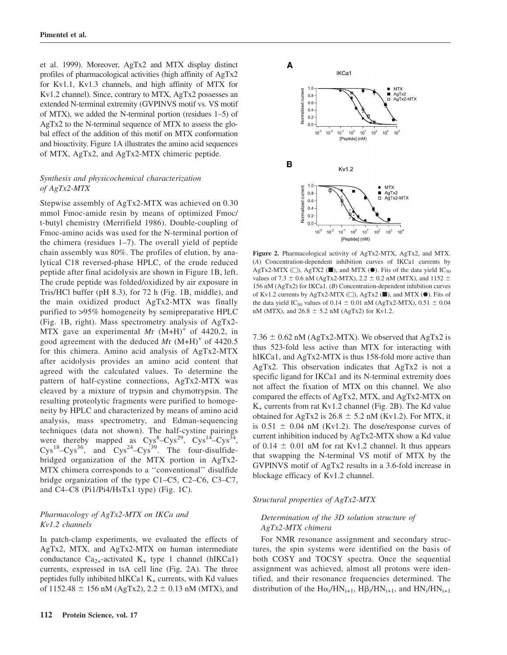et al. 1999). Moreover, AgTx2 and MTX display distinct profiles of pharmacological activities (high affinity of AgTx2 for Kv1.1, Kv1.3 channels, and high affinity of MTX for Kv1.2 channel). Since, contrary to MTX, AgTx2 possesses an extended N-terminal extremity (GVPINVS motif vs. VS motif of MTX), we added the N-terminal portion (residues 1–5) of AgTx2 to the N-terminal sequence of MTX to assess the global effect of the addition of this motif on MTX conformation and bioactivity. Figure 1A illustrates the amino acid sequences of MTX, AgTx2, and AgTx2-MTX chimeric peptide.

# Synthesis and physicochemical characterization of AgTx2-MTX

Stepwise assembly of AgTx2-MTX was achieved on 0.30 mmol Fmoc-amide resin by means of optimized Fmoc/ t-butyl chemistry (Merrifield 1986). Double-coupling of Fmoc-amino acids was used for the N-terminal portion of the chimera (residues 1–7). The overall yield of peptide chain assembly was 80%. The profiles of elution, by analytical C18 reversed-phase HPLC, of the crude reduced peptide after final acidolysis are shown in Figure 1B, left. The crude peptide was folded/oxidized by air exposure in Tris/HCl buffer (pH 8.3), for 72 h (Fig. 1B, middle), and the main oxidized product AgTx2-MTX was finally purified to >95% homogeneity by semipreparative HPLC (Fig. 1B, right). Mass spectrometry analysis of AgTx2- MTX gave an experimental Mr  $(M+H)^+$  of 4420.2, in good agreement with the deduced Mr  $(M+H)^+$  of 4420.5 for this chimera. Amino acid analysis of AgTx2-MTX after acidolysis provides an amino acid content that agreed with the calculated values. To determine the pattern of half-cystine connections, AgTx2-MTX was cleaved by a mixture of trypsin and chymotrypsin. The resulting proteolytic fragments were purified to homogeneity by HPLC and characterized by means of amino acid analysis, mass spectrometry, and Edman-sequencing techniques (data not shown). The half-cystine pairings were thereby mapped as  $Cys^8-Cys^{29}$ ,  $Cys^{14}-Cys^{34}$ ,  $Cys^{18} - Cys^{36}$ , and  $Cys^{24} - Cys^{39}$ . The four-disulfidebridged organization of the MTX portion in AgTx2- MTX chimera corresponds to a ''conventional'' disulfide bridge organization of the type C1–C5, C2–C6, C3–C7, and C4–C8 (Pi1/Pi4/HsTx1 type) (Fig. 1C).

# Pharmacology of AgTx2-MTX on IKCa and Kv1.2 channels

In patch-clamp experiments, we evaluated the effects of AgTx2, MTX, and AgTx2-MTX on human intermediate conductance  $Ca_{2+}$ -activated K<sub>+</sub> type 1 channel (hIKCa1) currents, expressed in tsA cell line (Fig. 2A). The three peptides fully inhibited hIKCa1  $K_{+}$  currents, with Kd values of 1152.48  $\pm$  156 nM (AgTx2), 2.2  $\pm$  0.13 nM (MTX), and



Figure 2. Pharmacological activity of AgTx2-MTX, AgTx2, and MTX. (A) Concentration-dependent inhibition curves of IKCa1 currents by AgTx2-MTX ( $\Box$ ), AgTX2 ( $\blacksquare$ ), and MTX ( $\odot$ ). Fits of the data yield IC<sub>50</sub> values of 7.3  $\pm$  0.6 nM (AgTx2-MTX), 2.2  $\pm$  0.2 nM (MTX), and 1152  $\pm$ 156 nM (AgTx2) for IKCa1. (B) Concentration-dependent inhibition curves of Kv1.2 currents by AgTx2-MTX ( $\Box$ ), AgTx2 ( $\blacksquare$ ), and MTX ( $\odot$ ). Fits of the data yield IC<sub>50</sub> values of 0.14  $\pm$  0.01 nM (AgTx2-MTX), 0.51  $\pm$  0.04 nM (MTX), and  $26.8 \pm 5.2$  nM (AgTx2) for Kv1.2.

7.36  $\pm$  0.62 nM (AgTx2-MTX). We observed that AgTx2 is thus 523-fold less active than MTX for interacting with hIKCa1, and AgTx2-MTX is thus 158-fold more active than AgTx2. This observation indicates that AgTx2 is not a specific ligand for IKCa1 and its N-terminal extremity does not affect the fixation of MTX on this channel. We also compared the effects of AgTx2, MTX, and AgTx2-MTX on  $K_{+}$  currents from rat Kv1.2 channel (Fig. 2B). The Kd value obtained for AgTx2 is  $26.8 \pm 5.2$  nM (Kv1.2). For MTX, it is  $0.51 \pm 0.04$  nM (Kv1.2). The dose/response curves of current inhibition induced by AgTx2-MTX show a Kd value of 0.14  $\pm$  0.01 nM for rat Kv1.2 channel. It thus appears that swapping the N-terminal VS motif of MTX by the GVPINVS motif of AgTx2 results in a 3.6-fold increase in blockage efficacy of Kv1.2 channel.

Structural properties of AgTx2-MTX

# Determination of the 3D solution structure of AgTx2-MTX chimera

For NMR resonance assignment and secondary structures, the spin systems were identified on the basis of both COSY and TOCSY spectra. Once the sequential assignment was achieved, almost all protons were identified, and their resonance frequencies determined. The distribution of the  $H\alpha_i/HN_{i+1}$ ,  $H\beta_i/HN_{i+1}$ , and  $HN_i/HN_{i+1}$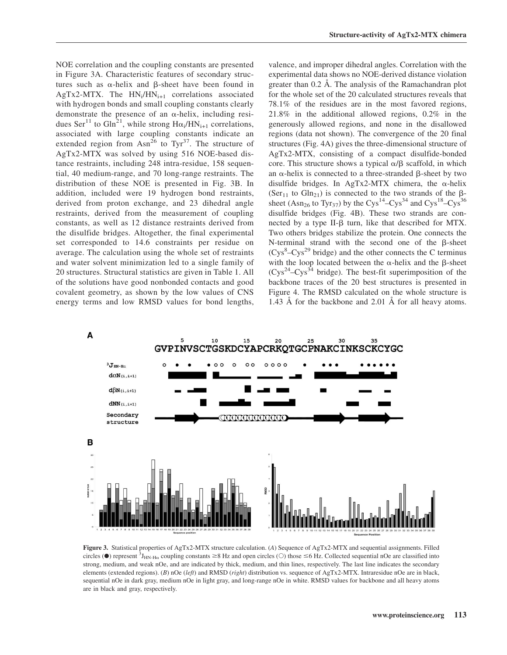NOE correlation and the coupling constants are presented in Figure 3A. Characteristic features of secondary structures such as  $\alpha$ -helix and  $\beta$ -sheet have been found in AgTx2-MTX. The  $HN_i/HN_{i+1}$  correlations associated with hydrogen bonds and small coupling constants clearly demonstrate the presence of an  $\alpha$ -helix, including residues Ser<sup>11</sup> to Gln<sup>21</sup>, while strong H $\alpha_i$ /HN<sub>i+1</sub> correlations, associated with large coupling constants indicate an extended region from Asn<sup>26</sup> to Tyr<sup>37</sup>. The structure of AgTx2-MTX was solved by using 516 NOE-based distance restraints, including 248 intra-residue, 158 sequential, 40 medium-range, and 70 long-range restraints. The distribution of these NOE is presented in Fig. 3B. In addition, included were 19 hydrogen bond restraints, derived from proton exchange, and 23 dihedral angle restraints, derived from the measurement of coupling constants, as well as 12 distance restraints derived from the disulfide bridges. Altogether, the final experimental set corresponded to 14.6 constraints per residue on average. The calculation using the whole set of restraints and water solvent minimization led to a single family of 20 structures. Structural statistics are given in Table 1. All of the solutions have good nonbonded contacts and good covalent geometry, as shown by the low values of CNS energy terms and low RMSD values for bond lengths,

valence, and improper dihedral angles. Correlation with the experimental data shows no NOE-derived distance violation greater than 0.2 Å. The analysis of the Ramachandran plot for the whole set of the 20 calculated structures reveals that 78.1% of the residues are in the most favored regions, 21.8% in the additional allowed regions, 0.2% in the generously allowed regions, and none in the disallowed regions (data not shown). The convergence of the 20 final structures (Fig. 4A) gives the three-dimensional structure of AgTx2-MTX, consisting of a compact disulfide-bonded core. This structure shows a typical  $\alpha/\beta$  scaffold, in which an  $\alpha$ -helix is connected to a three-stranded  $\beta$ -sheet by two disulfide bridges. In AgTx2-MTX chimera, the  $\alpha$ -helix (Ser<sub>11</sub> to Gln<sub>21</sub>) is connected to the two strands of the  $\beta$ sheet (Asn<sub>26</sub> to Tyr<sub>37</sub>) by the Cys<sup>14</sup>–Cys<sup>34</sup> and Cys<sup>18</sup>–Cys<sup>36</sup> disulfide bridges (Fig. 4B). These two strands are connected by a type II- $\beta$  turn, like that described for MTX. Two others bridges stabilize the protein. One connects the N-terminal strand with the second one of the  $\beta$ -sheet  $(Cys<sup>8</sup>-Cys<sup>29</sup>$  bridge) and the other connects the C terminus with the loop located between the  $\alpha$ -helix and the  $\beta$ -sheet  $(Cys^{24}-Cys^{34})$  bridge). The best-fit superimposition of the backbone traces of the 20 best structures is presented in Figure 4. The RMSD calculated on the whole structure is 1.43  $\AA$  for the backbone and 2.01  $\AA$  for all heavy atoms.



Figure 3. Statistical properties of AgTx2-MTX structure calculation. (A) Sequence of AgTx2-MTX and sequential assignments. Filled circles ( $\bullet$ ) represent  ${}^{3}J_{HN\text{-}H\alpha}$  coupling constants  $\geq$ 8 Hz and open circles ( $\circ$ ) those  $\leq$ 6 Hz. Collected sequential nOe are classified into strong, medium, and weak nOe, and are indicated by thick, medium, and thin lines, respectively. The last line indicates the secondary elements (extended regions). (B) nOe (left) and RMSD (right) distribution vs. sequence of AgTx2-MTX. Intraresidue nOe are in black, sequential nOe in dark gray, medium nOe in light gray, and long-range nOe in white. RMSD values for backbone and all heavy atoms are in black and gray, respectively.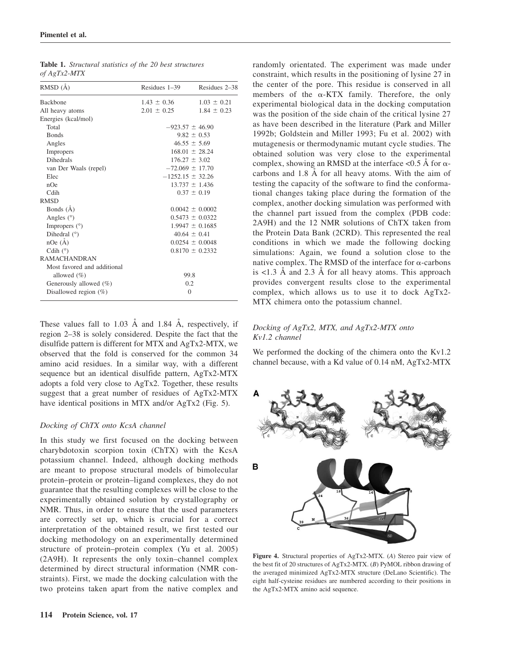| $U$   Agiaz-wita            |                      |                     |
|-----------------------------|----------------------|---------------------|
| RMSD (Å)                    | Residues $1-39$      | Residues 2–38       |
| <b>Backbone</b>             | $1.43 \pm 0.36$      | $1.03 \pm 0.21$     |
| All heavy atoms             | $2.01 \pm 0.25$      | $1.84 \pm 0.23$     |
| Energies (kcal/mol)         |                      |                     |
| Total                       | $-923.57 \pm 46.90$  |                     |
| <b>Bonds</b>                |                      | $9.82 \pm 0.53$     |
| Angles                      |                      | $46.55 \pm 5.69$    |
| Impropers                   |                      | $168.01 \pm 28.24$  |
| <b>Dihedrals</b>            |                      | $176.27 \pm 3.02$   |
| van Der Waals (repel)       | $-72.069 \pm 17.70$  |                     |
| Elec                        | $-1252.15 \pm 32.26$ |                     |
| nOe                         |                      | $13.737 \pm 1.436$  |
| Cdih                        |                      | $0.37 \pm 0.19$     |
| <b>RMSD</b>                 |                      |                     |
| Bonds (A)                   |                      | $0.0042 \pm 0.0002$ |
| Angles $(°)$                |                      | $0.5473 \pm 0.0322$ |
| Impropers $(°)$             |                      | $1.9947 \pm 0.1685$ |
| Dihedral $(°)$              |                      | $40.64 \pm 0.41$    |
| $n$ Oe $(A)$                |                      | $0.0254 \pm 0.0048$ |
| Cdih $(°)$                  |                      | $0.8170 \pm 0.2332$ |
| <b>RAMACHANDRAN</b>         |                      |                     |
| Most favored and additional |                      |                     |
| allowed $(\% )$             | 99.8                 |                     |
| Generously allowed (%)      | 0.2                  |                     |
| Disallowed region $(\%)$    | $\theta$             |                     |

Table 1. Structural statistics of the 20 best structures of  $A_0T_x$ <sup>2</sup> MTV

These values fall to 1.03  $\AA$  and 1.84  $\AA$ , respectively, if region 2–38 is solely considered. Despite the fact that the disulfide pattern is different for MTX and AgTx2-MTX, we observed that the fold is conserved for the common 34 amino acid residues. In a similar way, with a different sequence but an identical disulfide pattern, AgTx2-MTX adopts a fold very close to AgTx2. Together, these results suggest that a great number of residues of AgTx2-MTX have identical positions in MTX and/or AgTx2 (Fig. 5).

# Docking of ChTX onto KcsA channel

In this study we first focused on the docking between charybdotoxin scorpion toxin (ChTX) with the KcsA potassium channel. Indeed, although docking methods are meant to propose structural models of bimolecular protein–protein or protein–ligand complexes, they do not guarantee that the resulting complexes will be close to the experimentally obtained solution by crystallography or NMR. Thus, in order to ensure that the used parameters are correctly set up, which is crucial for a correct interpretation of the obtained result, we first tested our docking methodology on an experimentally determined structure of protein–protein complex (Yu et al. 2005) (2A9H). It represents the only toxin–channel complex determined by direct structural information (NMR constraints). First, we made the docking calculation with the two proteins taken apart from the native complex and

randomly orientated. The experiment was made under constraint, which results in the positioning of lysine 27 in the center of the pore. This residue is conserved in all members of the  $\alpha$ -KTX family. Therefore, the only experimental biological data in the docking computation was the position of the side chain of the critical lysine 27 as have been described in the literature (Park and Miller 1992b; Goldstein and Miller 1993; Fu et al. 2002) with mutagenesis or thermodynamic mutant cycle studies. The obtained solution was very close to the experimental complex, showing an RMSD at the interface  $< 0.5 \text{ Å}$  for  $\alpha$ carbons and 1.8 Å for all heavy atoms. With the aim of testing the capacity of the software to find the conformational changes taking place during the formation of the complex, another docking simulation was performed with the channel part issued from the complex (PDB code: 2A9H) and the 12 NMR solutions of ChTX taken from the Protein Data Bank (2CRD). This represented the real conditions in which we made the following docking simulations: Again, we found a solution close to the native complex. The RMSD of the interface for  $\alpha$ -carbons is  $\lt 1.3$  Å and 2.3 Å for all heavy atoms. This approach provides convergent results close to the experimental complex, which allows us to use it to dock AgTx2- MTX chimera onto the potassium channel.

# Docking of AgTx2, MTX, and AgTx2-MTX onto Kv1.2 channel

We performed the docking of the chimera onto the Kv1.2 channel because, with a Kd value of 0.14 nM, AgTx2-MTX



Figure 4. Structural properties of AgTx2-MTX. (A) Stereo pair view of the best fit of 20 structures of AgTx2-MTX. (B) PyMOL ribbon drawing of the averaged minimized AgTx2-MTX structure (DeLano Scientific). The eight half-cysteine residues are numbered according to their positions in the AgTx2-MTX amino acid sequence.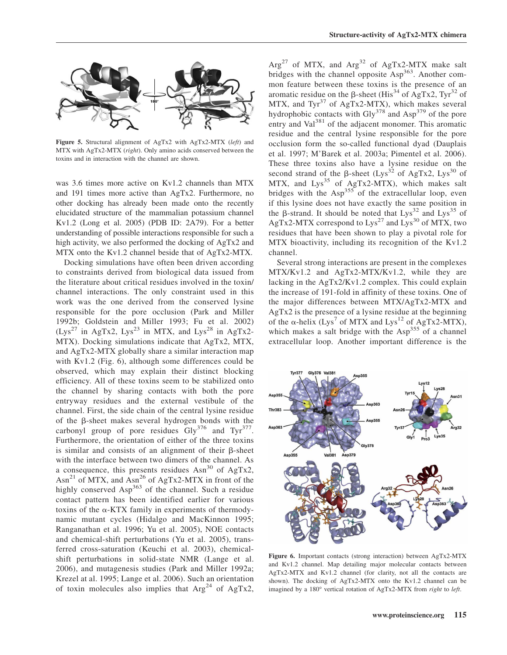

Figure 5. Structural alignment of AgTx2 with AgTx2-MTX (left) and MTX with AgTx2-MTX (right). Only amino acids conserved between the toxins and in interaction with the channel are shown.

was 3.6 times more active on Kv1.2 channels than MTX and 191 times more active than AgTx2. Furthermore, no other docking has already been made onto the recently elucidated structure of the mammalian potassium channel Kv1.2 (Long et al. 2005) (PDB ID: 2A79). For a better understanding of possible interactions responsible for such a high activity, we also performed the docking of AgTx2 and MTX onto the Kv1.2 channel beside that of AgTx2-MTX.

Docking simulations have often been driven according to constraints derived from biological data issued from the literature about critical residues involved in the toxin/ channel interactions. The only constraint used in this work was the one derived from the conserved lysine responsible for the pore occlusion (Park and Miller 1992b; Goldstein and Miller 1993; Fu et al. 2002)  $(Lys^{27}$  in AgTx2,  $Lys^{23}$  in MTX, and  $Lys^{28}$  in AgTx2-MTX). Docking simulations indicate that AgTx2, MTX, and AgTx2-MTX globally share a similar interaction map with Kv1.2 (Fig. 6), although some differences could be observed, which may explain their distinct blocking efficiency. All of these toxins seem to be stabilized onto the channel by sharing contacts with both the pore entryway residues and the external vestibule of the channel. First, the side chain of the central lysine residue of the b-sheet makes several hydrogen bonds with the carbonyl group of pore residues  $\text{Gly}^{376}$  and Tyr<sup>377</sup>. Furthermore, the orientation of either of the three toxins is similar and consists of an alignment of their  $\beta$ -sheet with the interface between two dimers of the channel. As a consequence, this presents residues  $Asn^{30}$  of AgTx2, Asn<sup>21</sup> of MTX, and Asn<sup>26</sup> of AgTx2-MTX in front of the highly conserved Asp<sup>363</sup> of the channel. Such a residue contact pattern has been identified earlier for various toxins of the  $\alpha$ -KTX family in experiments of thermodynamic mutant cycles (Hidalgo and MacKinnon 1995; Ranganathan et al. 1996; Yu et al. 2005), NOE contacts and chemical-shift perturbations (Yu et al. 2005), transferred cross-saturation (Keuchi et al. 2003), chemicalshift perturbations in solid-state NMR (Lange et al. 2006), and mutagenesis studies (Park and Miller 1992a; Krezel at al. 1995; Lange et al. 2006). Such an orientation of toxin molecules also implies that  $Arg<sup>24</sup>$  of AgTx2,

 $Arg^{27}$  of MTX, and  $Arg^{32}$  of AgTx2-MTX make salt bridges with the channel opposite Asp<sup>363</sup>. Another common feature between these toxins is the presence of an aromatic residue on the  $\beta$ -sheet (His<sup>34</sup> of AgTx2, Tyr<sup>32</sup> of MTX, and  $Tyr^{37}$  of AgTx2-MTX), which makes several hydrophobic contacts with Gly $^{378}$  and Asp<sup>379</sup> of the pore entry and  $Val^{381}$  of the adjacent monomer. This aromatic residue and the central lysine responsible for the pore occlusion form the so-called functional dyad (Dauplais et al. 1997; M'Barek et al. 2003a; Pimentel et al. 2006). These three toxins also have a lysine residue on the second strand of the  $\beta$ -sheet (Lys<sup>32</sup> of AgTx2, Lys<sup>30</sup> of MTX, and Lys<sup>35</sup> of AgTx2-MTX), which makes salt bridges with the  $Asp<sup>355</sup>$  of the extracellular loop, even if this lysine does not have exactly the same position in the  $\beta$ -strand. It should be noted that  $Lys^{32}$  and  $Lys^{35}$  of AgTx2-MTX correspond to  $Lys^{27}$  and  $Lys^{30}$  of MTX, two residues that have been shown to play a pivotal role for MTX bioactivity, including its recognition of the Kv1.2 channel.

Several strong interactions are present in the complexes MTX/Kv1.2 and AgTx2-MTX/Kv1.2, while they are lacking in the AgTx2/Kv1.2 complex. This could explain the increase of 191-fold in affinity of these toxins. One of the major differences between MTX/AgTx2-MTX and AgTx2 is the presence of a lysine residue at the beginning of the  $\alpha$ -helix (Lys<sup>7</sup> of MTX and Lys<sup>12</sup> of AgTx2-MTX), which makes a salt bridge with the  $Asp<sup>355</sup>$  of a channel extracellular loop. Another important difference is the



Figure 6. Important contacts (strong interaction) between AgTx2-MTX and Kv1.2 channel. Map detailing major molecular contacts between AgTx2-MTX and Kv1.2 channel (for clarity, not all the contacts are shown). The docking of AgTx2-MTX onto the Kv1.2 channel can be imagined by a 180° vertical rotation of AgTx2-MTX from right to left.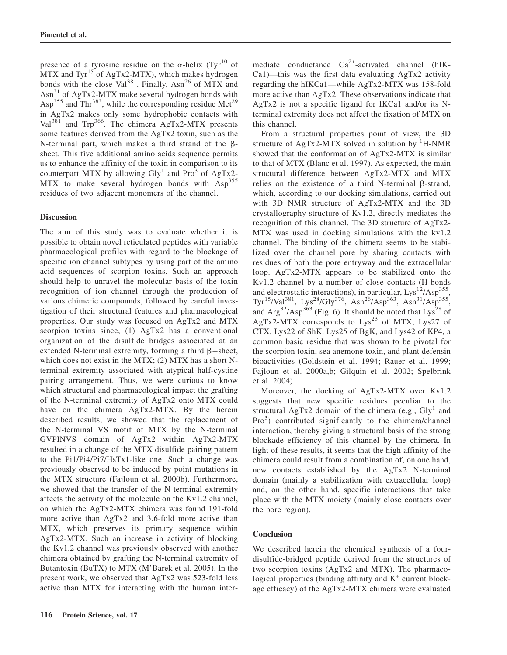presence of a tyrosine residue on the  $\alpha$ -helix (Tyr<sup>10</sup> of MTX and  $Tyr^{15}$  of AgTx2-MTX), which makes hydrogen bonds with the close Val<sup>381</sup>. Finally, Asn<sup>26</sup> of MTX and  $\text{Asn}^{31}$  of AgTx2-MTX make several hydrogen bonds with  $\text{Asp}^{355}$  and Thr<sup>383</sup>, while the corresponding residue Met<sup>29</sup> in AgTx2 makes only some hydrophobic contacts with  $Val^{381}$  and Trp<sup>366</sup>. The chimera AgTx2-MTX presents some features derived from the AgTx2 toxin, such as the N-terminal part, which makes a third strand of the  $\beta$ sheet. This five additional amino acids sequence permits us to enhance the affinity of the toxin in comparison to its counterpart MTX by allowing  $\text{Gly}^1$  and Pro<sup>3</sup> of AgTx2-MTX to make several hydrogen bonds with Asp<sup>355</sup> residues of two adjacent monomers of the channel.

## **Discussion**

The aim of this study was to evaluate whether it is possible to obtain novel reticulated peptides with variable pharmacological profiles with regard to the blockage of specific ion channel subtypes by using part of the amino acid sequences of scorpion toxins. Such an approach should help to unravel the molecular basis of the toxin recognition of ion channel through the production of various chimeric compounds, followed by careful investigation of their structural features and pharmacological properties. Our study was focused on AgTx2 and MTX scorpion toxins since, (1) AgTx2 has a conventional organization of the disulfide bridges associated at an extended N-terminal extremity, forming a third  $\beta$ -sheet, which does not exist in the MTX; (2) MTX has a short Nterminal extremity associated with atypical half-cystine pairing arrangement. Thus, we were curious to know which structural and pharmacological impact the grafting of the N-terminal extremity of AgTx2 onto MTX could have on the chimera AgTx2-MTX. By the herein described results, we showed that the replacement of the N-terminal VS motif of MTX by the N-terminal GVPINVS domain of AgTx2 within AgTx2-MTX resulted in a change of the MTX disulfide pairing pattern to the Pi1/Pi4/Pi7/HsTx1-like one. Such a change was previously observed to be induced by point mutations in the MTX structure (Fajloun et al. 2000b). Furthermore, we showed that the transfer of the N-terminal extremity affects the activity of the molecule on the Kv1.2 channel, on which the AgTx2-MTX chimera was found 191-fold more active than AgTx2 and 3.6-fold more active than MTX, which preserves its primary sequence within AgTx2-MTX. Such an increase in activity of blocking the Kv1.2 channel was previously observed with another chimera obtained by grafting the N-terminal extremity of Butantoxin (BuTX) to MTX (M'Barek et al. 2005). In the present work, we observed that AgTx2 was 523-fold less active than MTX for interacting with the human intermediate conductance  $Ca^{2+}$ -activated channel (hIK-Ca1)—this was the first data evaluating AgTx2 activity regarding the hIKCa1—while AgTx2-MTX was 158-fold more active than AgTx2. These observations indicate that AgTx2 is not a specific ligand for IKCa1 and/or its Nterminal extremity does not affect the fixation of MTX on this channel.

From a structural properties point of view, the 3D structure of AgTx2-MTX solved in solution by  ${}^{1}H\text{-NMR}$ showed that the conformation of AgTx2-MTX is similar to that of MTX (Blanc et al. 1997). As expected, the main structural difference between AgTx2-MTX and MTX relies on the existence of a third N-terminal  $\beta$ -strand, which, according to our docking simulations, carried out with 3D NMR structure of AgTx2-MTX and the 3D crystallography structure of Kv1.2, directly mediates the recognition of this channel. The 3D structure of AgTx2- MTX was used in docking simulations with the kv1.2 channel. The binding of the chimera seems to be stabilized over the channel pore by sharing contacts with residues of both the pore entryway and the extracellular loop. AgTx2-MTX appears to be stabilized onto the Kv1.2 channel by a number of close contacts (H-bonds and electrostatic interactions), in particular,  $Lys^{12}/Asp^{355}$ . Tyr<sup>15</sup>/Val<sup>381</sup>, Lys<sup>28</sup>/Gly<sup>376</sup>, Asn<sup>26</sup>/Asp<sup>363</sup>, Asn<sup>31</sup>/Asp<sup>355</sup>, and  $\text{Arg}^{32}/\text{Asp}^{363}$  (Fig. 6). It should be noted that  $\text{Lys}^{28}$  of AgTx2-MTX corresponds to  $Lys^{23}$  of MTX,  $Lys27$  of CTX, Lys22 of ShK, Lys25 of BgK, and Lys42 of KP4, a common basic residue that was shown to be pivotal for the scorpion toxin, sea anemone toxin, and plant defensin bioactivities (Goldstein et al. 1994; Rauer et al. 1999; Fajloun et al. 2000a,b; Gilquin et al. 2002; Spelbrink et al. 2004).

Moreover, the docking of AgTx2-MTX over Kv1.2 suggests that new specific residues peculiar to the structural AgTx2 domain of the chimera (e.g.,  $\text{Gly}^1$  and Pro<sup>3</sup>) contributed significantly to the chimera/channel interaction, thereby giving a structural basis of the strong blockade efficiency of this channel by the chimera. In light of these results, it seems that the high affinity of the chimera could result from a combination of, on one hand, new contacts established by the AgTx2 N-terminal domain (mainly a stabilization with extracellular loop) and, on the other hand, specific interactions that take place with the MTX moiety (mainly close contacts over the pore region).

## **Conclusion**

We described herein the chemical synthesis of a fourdisulfide-bridged peptide derived from the structures of two scorpion toxins (AgTx2 and MTX). The pharmacological properties (binding affinity and  $K^+$  current blockage efficacy) of the AgTx2-MTX chimera were evaluated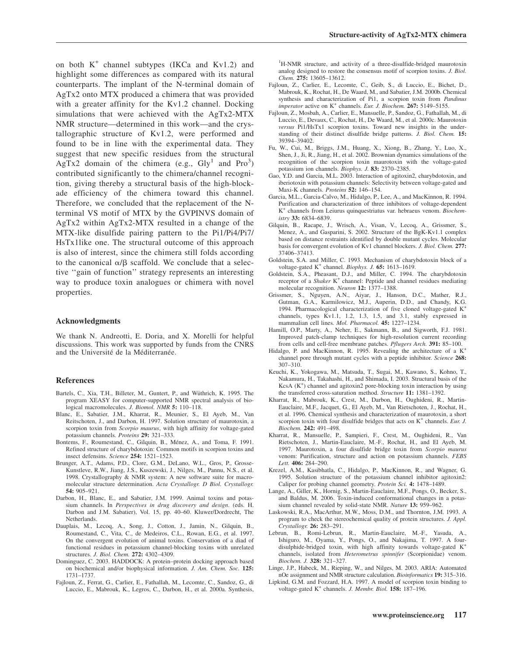on both  $K^+$  channel subtypes (IKCa and Kv1.2) and highlight some differences as compared with its natural counterparts. The implant of the N-terminal domain of AgTx2 onto MTX produced a chimera that was provided with a greater affinity for the Kv1.2 channel. Docking simulations that were achieved with the AgTx2-MTX NMR structure—determined in this work—and the crystallographic structure of Kv1.2, were performed and found to be in line with the experimental data. They suggest that new specific residues from the structural  $\text{AgTx2}$  domain of the chimera (e.g., Gly<sup>1</sup> and Pro<sup>3</sup>) contributed significantly to the chimera/channel recognition, giving thereby a structural basis of the high-blockade efficiency of the chimera toward this channel. Therefore, we concluded that the replacement of the Nterminal VS motif of MTX by the GVPINVS domain of AgTx2 within AgTx2-MTX resulted in a change of the MTX-like disulfide pairing pattern to the Pi1/Pi4/Pi7/ HsTx1like one. The structural outcome of this approach is also of interest, since the chimera still folds according to the canonical  $\alpha/\beta$  scaffold. We conclude that a selective ''gain of function'' strategy represents an interesting way to produce toxin analogues or chimera with novel properties.

#### Acknowledgments

We thank N. Andreotti, E. Doria, and X. Morelli for helpful discussions. This work was supported by funds from the CNRS and the Université de la Méditerranée.

#### References

- Bartels, C., Xia, T.H., Billeter, M., Guntert, P., and Wüthrich, K. 1995. The program XEASY for computer-supported NMR spectral analysis of biological macromolecules. J. Biomol. NMR 5: 110-118.
- Blanc, E., Sabatier, J.M., Kharrat, R., Meunier, S., El Ayeb, M., Van Reitschoten, J., and Darbon, H. 1997. Solution structure of maurotoxin, a scorpion toxin from Scorpio maurus, with high affinity for voltage-gated potassium channels. Proteins 29: 321–333.
- Bontems, F., Roumestand, C., Gilquin, B., Ménez, A., and Toma, F. 1991. Refined structure of charybdotoxin: Common motifs in scorpion toxins and insect defensins. Science 254: 1521–1523.
- Brunger, A.T., Adams, P.D., Clore, G.M., DeLano, W.L., Gros, P., Grosse-Kunstleve, R.W., Jiang, J.S., Kuszewski, J., Nilges, M., Pannu, N.S., et al. 1998. Crystallography & NMR system: A new software suite for macromolecular structure determination. Acta Crystallogr. D Biol. Crystallogr. 54: 905–921.
- Darbon, H., Blanc, E., and Sabatier, J.M. 1999. Animal toxins and potassium channels. In Perspectives in drug discovery and design. (eds. H. Darbon and J.M. Sabatier), Vol. 15, pp. 40–60. Kluwer/Dordrecht, The Netherlands.
- Dauplais, M., Lecoq, A., Song, J., Cotton, J., Jamin, N., Gilquin, B., Roumestand, C., Vita, C., de Medeiros, C.L., Rowan, E.G., et al. 1997. On the convergent evolution of animal toxins. Conservation of a diad of functional residues in potassium channel-blocking toxins with unrelated structures. J. Biol. Chem. 272: 4302–4309.
- Dominguez, C. 2003. HADDOCK: A protein–protein docking approach based on biochemical and/or biophysical information. J. Am. Chem. Soc. 125: 1731–1737.
- Fajloun, Z., Ferrat, G., Carlier, E., Fathallah, M., Lecomte, C., Sandoz, G., di Luccio, E., Mabrouk, K., Legros, C., Darbon, H., et al. 2000a. Synthesis,

<sup>1</sup>H-NMR structure, and activity of a three-disulfide-bridged maurotoxin analog designed to restore the consensus motif of scorpion toxins. J. Biol. Chem. 275: 13605–13612.

- Fajloun, Z., Carlier, E., Lecomte, C., Geib, S., di Luccio, E., Bichet, D., Mabrouk, K., Rochat, H., De Waard, M., and Sabatier, J.M. 2000b. Chemical synthesis and characterization of Pi1, a scorpion toxin from Pandinus *imperator* active on  $K^+$  channels. Eur. J. Biochem. 267: 5149–5155.
- Fajloun, Z., Mosbah, A., Carlier, E., Mansuelle, P., Sandoz, G., Fathallah, M., di Luccio, E., Devaux, C., Rochat, H., De Waard, M., et al. 2000c. Maurotoxin versus Pi1/HsTx1 scorpion toxins. Toward new insights in the understanding of their distinct disulfide bridge patterns. J. Biol. Chem. 15: 39394–39402.
- Fu, W., Cui, M., Briggs, J.M., Huang, X., Xiong, B., Zhang, Y., Luo, X., Shen, J., Ji, R., Jiang, H., et al. 2002. Brownian dynamics simulations of the recognition of the scorpion toxin maurotoxin with the voltage-gated potassium ion channels. Biophys. J. 83: 2370–2385.
- Gao, Y.D. and Garcia, M.L. 2003. Interaction of agitoxin2, charybdotoxin, and iberiotoxin with potassium channels: Selectivity between voltage-gated and Maxi-K channels. Proteins 52: 146–154.
- Garcia, M.L., Garcia-Calvo, M., Hidalgo, P., Lee, A., and MacKinnon, R. 1994. Purification and characterization of three inhibitors of voltage-dependent K<sup>+</sup> channels from Leiurus quinquestriatus var. hebraeus venom. Biochemistry 33: 6834–6839.
- Gilquin, B., Racape, J., Wrisch, A., Visan, V., Lecoq, A., Grissmer, S., Menez, A., and Gasparini, S. 2002. Structure of the BgK-Kv1.1 complex based on distance restraints identified by double mutant cycles. Molecular basis for convergent evolution of Kv1 channel blockers. J. Biol. Chem. 277: 37406–37413.
- Goldstein, S.A. and Miller, C. 1993. Mechanism of charybdotoxin block of a voltage-gated  $K^+$  channel. Biophys. J. 65: 1613-1619.
- Goldstein, S.A., Pheasant, D.J., and Miller, C. 1994. The charybdotoxin receptor of a Shaker  $K^+$  channel: Peptide and channel residues mediating molecular recognition. Neuron 12: 1377–1388.
- Grissmer, S., Nguyen, A.N., Aiyar, J., Hanson, D.C., Mather, R.J., Gutman, G.A., Karmilowicz, M.J., Auperin, D.D., and Chandy, K.G. 1994. Pharmacological characterization of five cloned voltage-gated K<sup>+</sup> channels, types Kv1.1, 1.2, 1.3, 1.5, and 3.1, stably expressed in mammalian cell lines. Mol. Pharmacol. 45: 1227–1234.
- Hamill, O.P., Marty, A., Neher, E., Sakmann, B., and Sigworth, F.J. 1981. Improved patch-clamp techniques for high-resolution current recording from cells and cell-free membrane patches. Pflugers Arch. 391: 85-100.
- Hidalgo, P. and MacKinnon, R. 1995. Revealing the architecture of a K<sup>+</sup> channel pore through mutant cycles with a peptide inhibitor. Science 268: 307–310.
- Keuchi, K., Yokogawa, M., Matsuda, T., Sugai, M., Kawano, S., Kohno, T., Nakamura, H., Takahashi, H., and Shimada, I. 2003. Structural basis of the  $KcsA (K<sup>+</sup>)$  channel and agitoxin2 pore-blocking toxin interaction by using the transferred cross-saturation method. Structure 11: 1381–1392.
- Kharrat, R., Mabrouk, K., Crest, M., Darbon, H., Oughideni, R., Martin-Eauclaire, M.F., Jacquet, G., El Ayeb, M., Van Rietschoten, J., Rochat, H., et al. 1996. Chemical synthesis and characterization of maurotoxin, a short scorpion toxin with four disulfide bridges that acts on  $K^+$  channels. Eur. J. Biochem. 242: 491–498.
- Kharrat, R., Mansuelle, P., Sampieri, F., Crest, M., Oughideni, R., Van Rietschoten, J., Martin-Eauclaire, M.-F., Rochat, H., and El Ayeb, M. 1997. Maurotoxin, a four disulfide bridge toxin from Scorpio maurus venom: Purification, structure and action on potassium channels. FEBS Lett. 406: 284–290.
- Krezel, A.M., Kasibhatla, C., Hidalgo, P., MacKinnon, R., and Wagner, G. 1995. Solution structure of the potassium channel inhibitor agitoxin2: Caliper for probing channel geometry. Protein Sci. 4: 1478–1489.
- Lange, A., Giller, K., Hornig, S., Martin-Eauclaire, M.F., Pongs, O., Becker, S., and Baldus, M. 2006. Toxin-induced conformational changes in a potassium channel revealed by solid-state NMR. Nature 13: 959–962.
- Laskowski, R.A., MacArthur, M.W., Moss, D.M., and Thornton, J.M. 1993. A program to check the stereochemical quality of protein structures. J. Appl. Crystallogr. 26: 283–291.
- Lebrun, B., Romi-Lebrun, R., Martin-Eauclaire, M.-F., Yasuda, A., Ishiguro, M., Oyama, Y., Pongs, O., and Nakajima, T. 1997. A fourdisulphide-bridged toxin, with high affinity towards voltage-gated K+ channels, isolated from Heterometrus spinnifer (Scorpionidae) venom. Biochem. J. 328: 321–327.
- Linge, J.P., Habeck, M., Rieping, W., and Nilges, M. 2003. ARIA: Automated nOe assignment and NMR structure calculation. Bioinformatics 19: 315–316.
- Lipkind, G.M. and Fozzard, H.A. 1997. A model of scorpion toxin binding to voltage-gated K<sup>+</sup> channels. J. Membr. Biol. 158: 187-196.